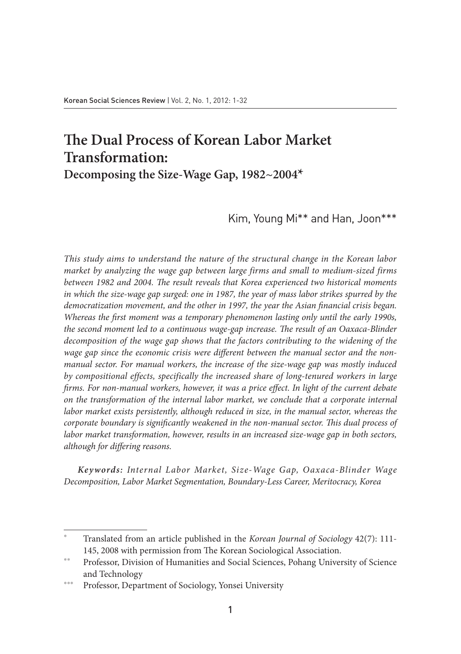# **The Dual Process of Korean Labor Market Transformation:**

**Decomposing the Size-Wage Gap, 1982~2004\***

Kim, Young Mi\*\* and Han, Joon\*\*\*

*This study aims to understand the nature of the structural change in the Korean labor market by analyzing the wage gap between large firms and small to medium-sized firms between 1982 and 2004. The result reveals that Korea experienced two historical moments in which the size-wage gap surged: one in 1987, the year of mass labor strikes spurred by the democratization movement, and the other in 1997, the year the Asian financial crisis began. Whereas the first moment was a temporary phenomenon lasting only until the early 1990s, the second moment led to a continuous wage-gap increase. The result of an Oaxaca-Blinder decomposition of the wage gap shows that the factors contributing to the widening of the wage gap since the economic crisis were different between the manual sector and the nonmanual sector. For manual workers, the increase of the size-wage gap was mostly induced by compositional effects, specifically the increased share of long-tenured workers in large firms. For non-manual workers, however, it was a price effect. In light of the current debate on the transformation of the internal labor market, we conclude that a corporate internal labor market exists persistently, although reduced in size, in the manual sector, whereas the corporate boundary is significantly weakened in the non-manual sector. This dual process of labor market transformation, however, results in an increased size-wage gap in both sectors, although for differing reasons.*

*Keywords: Internal Labor Market, Size-Wage Gap, Oaxaca-Blinder Wage Decomposition, Labor Market Segmentation, Boundary-Less Career, Meritocracy, Korea*

<sup>\*</sup> Translated from an article published in the *Korean Journal of Sociology* 42(7): 111- 145, 2008 with permission from The Korean Sociological Association.

Professor, Division of Humanities and Social Sciences, Pohang University of Science and Technology

<sup>\*\*\*</sup> Professor, Department of Sociology, Yonsei University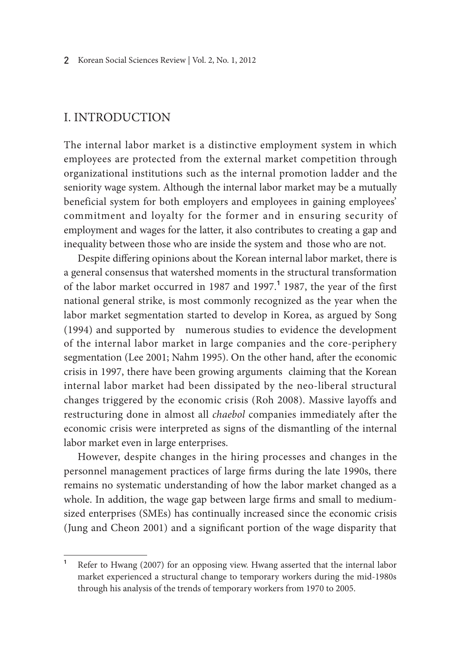# I. Introduction

The internal labor market is a distinctive employment system in which employees are protected from the external market competition through organizational institutions such as the internal promotion ladder and the seniority wage system. Although the internal labor market may be a mutually beneficial system for both employers and employees in gaining employees' commitment and loyalty for the former and in ensuring security of employment and wages for the latter, it also contributes to creating a gap and inequality between those who are inside the system and those who are not.

Despite differing opinions about the Korean internal labor market, there is a general consensus that watershed moments in the structural transformation of the labor market occurred in 1987 and 1997.**<sup>1</sup>** 1987, the year of the first national general strike, is most commonly recognized as the year when the labor market segmentation started to develop in Korea, as argued by Song (1994) and supported by numerous studies to evidence the development of the internal labor market in large companies and the core-periphery segmentation (Lee 2001; Nahm 1995). On the other hand, after the economic crisis in 1997, there have been growing arguments claiming that the Korean internal labor market had been dissipated by the neo-liberal structural changes triggered by the economic crisis (Roh 2008). Massive layoffs and restructuring done in almost all *chaebol* companies immediately after the economic crisis were interpreted as signs of the dismantling of the internal labor market even in large enterprises.

However, despite changes in the hiring processes and changes in the personnel management practices of large firms during the late 1990s, there remains no systematic understanding of how the labor market changed as a whole. In addition, the wage gap between large firms and small to mediumsized enterprises (SMEs) has continually increased since the economic crisis (Jung and Cheon 2001) and a significant portion of the wage disparity that

**<sup>1</sup>** Refer to Hwang (2007) for an opposing view. Hwang asserted that the internal labor market experienced a structural change to temporary workers during the mid-1980s through his analysis of the trends of temporary workers from 1970 to 2005.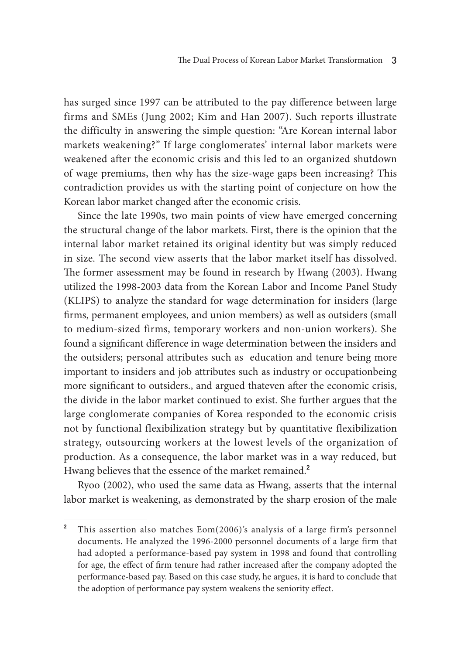has surged since 1997 can be attributed to the pay difference between large firms and SMEs (Jung 2002; Kim and Han 2007). Such reports illustrate the difficulty in answering the simple question: "Are Korean internal labor markets weakening?" If large conglomerates' internal labor markets were weakened after the economic crisis and this led to an organized shutdown of wage premiums, then why has the size-wage gaps been increasing? This contradiction provides us with the starting point of conjecture on how the Korean labor market changed after the economic crisis.

Since the late 1990s, two main points of view have emerged concerning the structural change of the labor markets. First, there is the opinion that the internal labor market retained its original identity but was simply reduced in size. The second view asserts that the labor market itself has dissolved. The former assessment may be found in research by Hwang (2003). Hwang utilized the 1998-2003 data from the Korean Labor and Income Panel Study (KLIPS) to analyze the standard for wage determination for insiders (large firms, permanent employees, and union members) as well as outsiders (small to medium-sized firms, temporary workers and non-union workers). She found a significant difference in wage determination between the insiders and the outsiders; personal attributes such as education and tenure being more important to insiders and job attributes such as industry or occupationbeing more significant to outsiders., and argued thateven after the economic crisis, the divide in the labor market continued to exist. She further argues that the large conglomerate companies of Korea responded to the economic crisis not by functional flexibilization strategy but by quantitative flexibilization strategy, outsourcing workers at the lowest levels of the organization of production. As a consequence, the labor market was in a way reduced, but Hwang believes that the essence of the market remained.**<sup>2</sup>**

Ryoo (2002), who used the same data as Hwang, asserts that the internal labor market is weakening, as demonstrated by the sharp erosion of the male

**<sup>2</sup>** This assertion also matches Eom(2006)'s analysis of a large firm's personnel documents. He analyzed the 1996-2000 personnel documents of a large firm that had adopted a performance-based pay system in 1998 and found that controlling for age, the effect of firm tenure had rather increased after the company adopted the performance-based pay. Based on this case study, he argues, it is hard to conclude that the adoption of performance pay system weakens the seniority effect.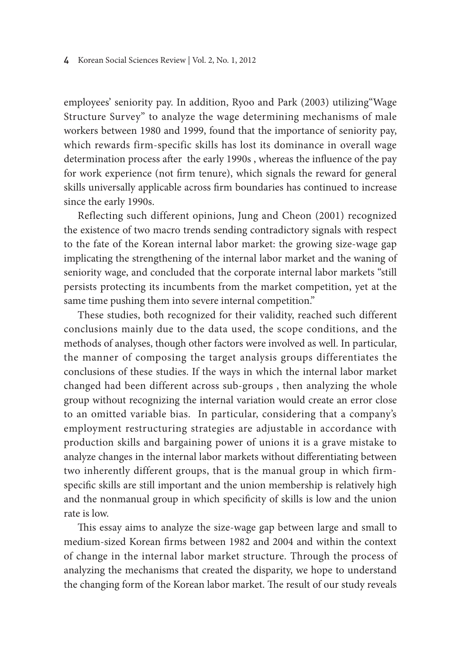#### 4 Korean Social Sciences Review | Vol. 2, No. 1, 2012

employees' seniority pay. In addition, Ryoo and Park (2003) utilizing"Wage Structure Survey" to analyze the wage determining mechanisms of male workers between 1980 and 1999, found that the importance of seniority pay, which rewards firm-specific skills has lost its dominance in overall wage determination process after the early 1990s , whereas the influence of the pay for work experience (not firm tenure), which signals the reward for general skills universally applicable across firm boundaries has continued to increase since the early 1990s.

Reflecting such different opinions, Jung and Cheon (2001) recognized the existence of two macro trends sending contradictory signals with respect to the fate of the Korean internal labor market: the growing size-wage gap implicating the strengthening of the internal labor market and the waning of seniority wage, and concluded that the corporate internal labor markets "still persists protecting its incumbents from the market competition, yet at the same time pushing them into severe internal competition."

These studies, both recognized for their validity, reached such different conclusions mainly due to the data used, the scope conditions, and the methods of analyses, though other factors were involved as well. In particular, the manner of composing the target analysis groups differentiates the conclusions of these studies. If the ways in which the internal labor market changed had been different across sub-groups , then analyzing the whole group without recognizing the internal variation would create an error close to an omitted variable bias. In particular, considering that a company's employment restructuring strategies are adjustable in accordance with production skills and bargaining power of unions it is a grave mistake to analyze changes in the internal labor markets without differentiating between two inherently different groups, that is the manual group in which firmspecific skills are still important and the union membership is relatively high and the nonmanual group in which specificity of skills is low and the union rate is low.

This essay aims to analyze the size-wage gap between large and small to medium-sized Korean firms between 1982 and 2004 and within the context of change in the internal labor market structure. Through the process of analyzing the mechanisms that created the disparity, we hope to understand the changing form of the Korean labor market. The result of our study reveals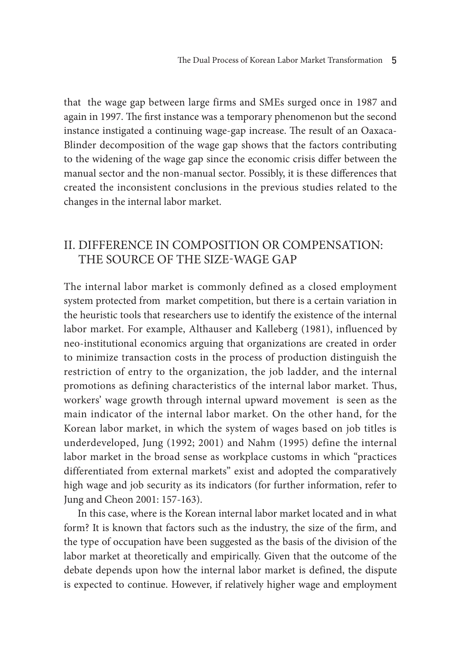that the wage gap between large firms and SMEs surged once in 1987 and again in 1997. The first instance was a temporary phenomenon but the second instance instigated a continuing wage-gap increase. The result of an Oaxaca-Blinder decomposition of the wage gap shows that the factors contributing to the widening of the wage gap since the economic crisis differ between the manual sector and the non-manual sector. Possibly, it is these differences that created the inconsistent conclusions in the previous studies related to the changes in the internal labor market.

# II. Difference in Composition or Compensation: The source of the Size-Wage Gap

The internal labor market is commonly defined as a closed employment system protected from market competition, but there is a certain variation in the heuristic tools that researchers use to identify the existence of the internal labor market. For example, Althauser and Kalleberg (1981), influenced by neo-institutional economics arguing that organizations are created in order to minimize transaction costs in the process of production distinguish the restriction of entry to the organization, the job ladder, and the internal promotions as defining characteristics of the internal labor market. Thus, workers' wage growth through internal upward movement is seen as the main indicator of the internal labor market. On the other hand, for the Korean labor market, in which the system of wages based on job titles is underdeveloped, Jung (1992; 2001) and Nahm (1995) define the internal labor market in the broad sense as workplace customs in which "practices differentiated from external markets" exist and adopted the comparatively high wage and job security as its indicators (for further information, refer to Jung and Cheon 2001: 157-163).

In this case, where is the Korean internal labor market located and in what form? It is known that factors such as the industry, the size of the firm, and the type of occupation have been suggested as the basis of the division of the labor market at theoretically and empirically. Given that the outcome of the debate depends upon how the internal labor market is defined, the dispute is expected to continue. However, if relatively higher wage and employment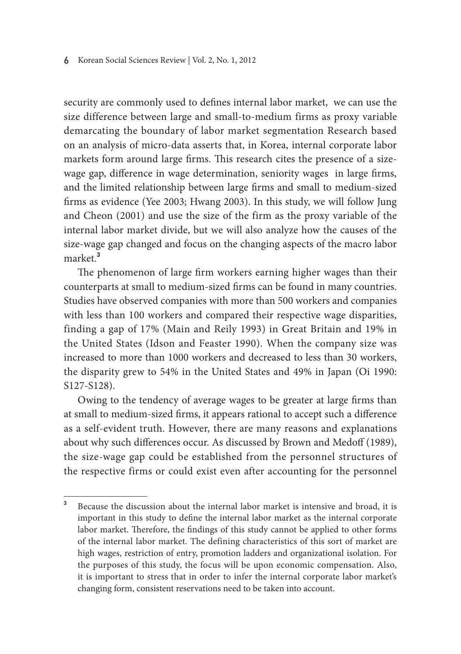security are commonly used to defines internal labor market, we can use the size difference between large and small-to-medium firms as proxy variable demarcating the boundary of labor market segmentation Research based on an analysis of micro-data asserts that, in Korea, internal corporate labor markets form around large firms. This research cites the presence of a sizewage gap, difference in wage determination, seniority wages in large firms, and the limited relationship between large firms and small to medium-sized firms as evidence (Yee 2003; Hwang 2003). In this study, we will follow Jung and Cheon (2001) and use the size of the firm as the proxy variable of the internal labor market divide, but we will also analyze how the causes of the size-wage gap changed and focus on the changing aspects of the macro labor market.**<sup>3</sup>**

The phenomenon of large firm workers earning higher wages than their counterparts at small to medium-sized firms can be found in many countries. Studies have observed companies with more than 500 workers and companies with less than 100 workers and compared their respective wage disparities, finding a gap of 17% (Main and Reily 1993) in Great Britain and 19% in the United States (Idson and Feaster 1990). When the company size was increased to more than 1000 workers and decreased to less than 30 workers, the disparity grew to 54% in the United States and 49% in Japan (Oi 1990: S127-S128).

Owing to the tendency of average wages to be greater at large firms than at small to medium-sized firms, it appears rational to accept such a difference as a self-evident truth. However, there are many reasons and explanations about why such differences occur. As discussed by Brown and Medoff (1989), the size-wage gap could be established from the personnel structures of the respective firms or could exist even after accounting for the personnel

**<sup>3</sup>** Because the discussion about the internal labor market is intensive and broad, it is important in this study to define the internal labor market as the internal corporate labor market. Therefore, the findings of this study cannot be applied to other forms of the internal labor market. The defining characteristics of this sort of market are high wages, restriction of entry, promotion ladders and organizational isolation. For the purposes of this study, the focus will be upon economic compensation. Also, it is important to stress that in order to infer the internal corporate labor market's changing form, consistent reservations need to be taken into account.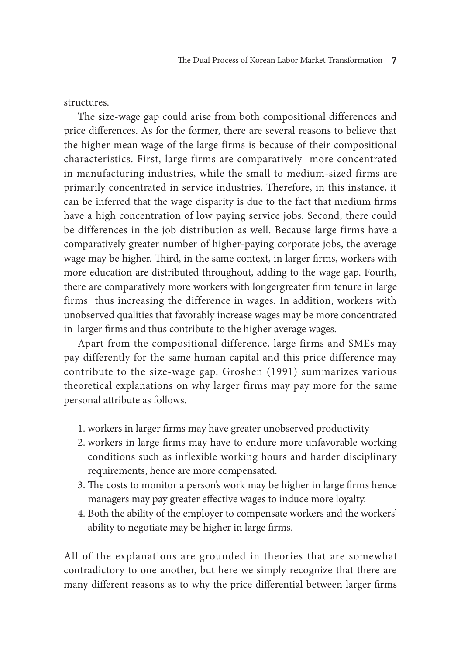#### structures.

The size-wage gap could arise from both compositional differences and price differences. As for the former, there are several reasons to believe that the higher mean wage of the large firms is because of their compositional characteristics. First, large firms are comparatively more concentrated in manufacturing industries, while the small to medium-sized firms are primarily concentrated in service industries. Therefore, in this instance, it can be inferred that the wage disparity is due to the fact that medium firms have a high concentration of low paying service jobs. Second, there could be differences in the job distribution as well. Because large firms have a comparatively greater number of higher-paying corporate jobs, the average wage may be higher. Third, in the same context, in larger firms, workers with more education are distributed throughout, adding to the wage gap. Fourth, there are comparatively more workers with longergreater firm tenure in large firms thus increasing the difference in wages. In addition, workers with unobserved qualities that favorably increase wages may be more concentrated in larger firms and thus contribute to the higher average wages.

Apart from the compositional difference, large firms and SMEs may pay differently for the same human capital and this price difference may contribute to the size-wage gap. Groshen (1991) summarizes various theoretical explanations on why larger firms may pay more for the same personal attribute as follows.

- 1. workers in larger firms may have greater unobserved productivity
- 2. workers in large firms may have to endure more unfavorable working conditions such as inflexible working hours and harder disciplinary requirements, hence are more compensated.
- 3. The costs to monitor a person's work may be higher in large firms hence managers may pay greater effective wages to induce more loyalty.
- 4. Both the ability of the employer to compensate workers and the workers' ability to negotiate may be higher in large firms.

All of the explanations are grounded in theories that are somewhat contradictory to one another, but here we simply recognize that there are many different reasons as to why the price differential between larger firms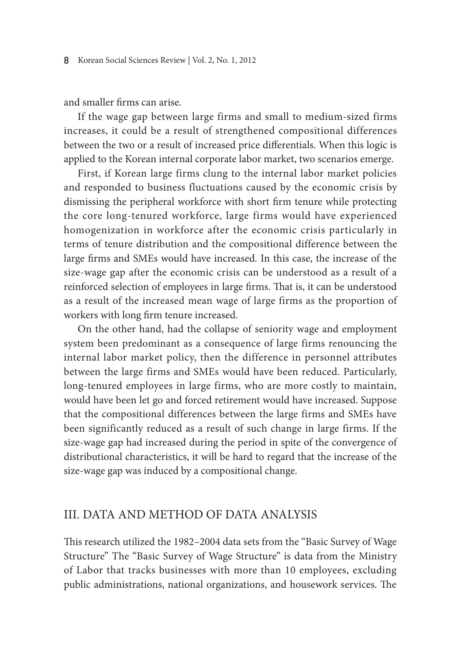and smaller firms can arise.

If the wage gap between large firms and small to medium-sized firms increases, it could be a result of strengthened compositional differences between the two or a result of increased price differentials. When this logic is applied to the Korean internal corporate labor market, two scenarios emerge.

First, if Korean large firms clung to the internal labor market policies and responded to business fluctuations caused by the economic crisis by dismissing the peripheral workforce with short firm tenure while protecting the core long-tenured workforce, large firms would have experienced homogenization in workforce after the economic crisis particularly in terms of tenure distribution and the compositional difference between the large firms and SMEs would have increased. In this case, the increase of the size-wage gap after the economic crisis can be understood as a result of a reinforced selection of employees in large firms. That is, it can be understood as a result of the increased mean wage of large firms as the proportion of workers with long firm tenure increased.

On the other hand, had the collapse of seniority wage and employment system been predominant as a consequence of large firms renouncing the internal labor market policy, then the difference in personnel attributes between the large firms and SMEs would have been reduced. Particularly, long-tenured employees in large firms, who are more costly to maintain, would have been let go and forced retirement would have increased. Suppose that the compositional differences between the large firms and SMEs have been significantly reduced as a result of such change in large firms. If the size-wage gap had increased during the period in spite of the convergence of distributional characteristics, it will be hard to regard that the increase of the size-wage gap was induced by a compositional change.

### III. Data and Method of Data Analysis

This research utilized the 1982–2004 data sets from the "Basic Survey of Wage Structure" The "Basic Survey of Wage Structure" is data from the Ministry of Labor that tracks businesses with more than 10 employees, excluding public administrations, national organizations, and housework services. The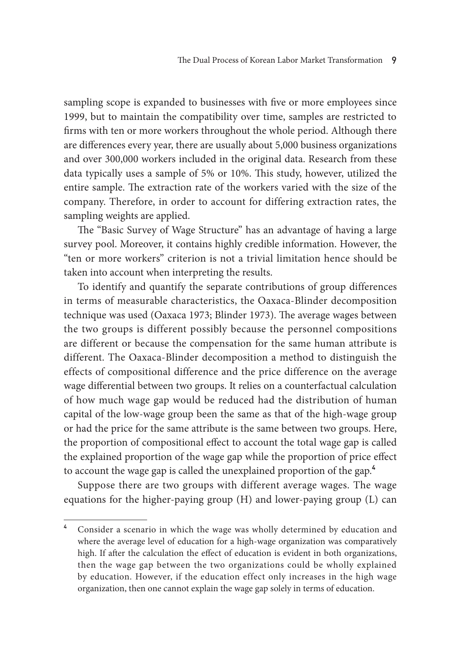sampling scope is expanded to businesses with five or more employees since 1999, but to maintain the compatibility over time, samples are restricted to firms with ten or more workers throughout the whole period. Although there are differences every year, there are usually about 5,000 business organizations and over 300,000 workers included in the original data. Research from these data typically uses a sample of 5% or 10%. This study, however, utilized the entire sample. The extraction rate of the workers varied with the size of the company. Therefore, in order to account for differing extraction rates, the sampling weights are applied.

The "Basic Survey of Wage Structure" has an advantage of having a large survey pool. Moreover, it contains highly credible information. However, the "ten or more workers" criterion is not a trivial limitation hence should be taken into account when interpreting the results.

To identify and quantify the separate contributions of group differences in terms of measurable characteristics, the Oaxaca-Blinder decomposition technique was used (Oaxaca 1973; Blinder 1973). The average wages between the two groups is different possibly because the personnel compositions are different or because the compensation for the same human attribute is different. The Oaxaca-Blinder decomposition a method to distinguish the effects of compositional difference and the price difference on the average wage differential between two groups. It relies on a counterfactual calculation of how much wage gap would be reduced had the distribution of human capital of the low-wage group been the same as that of the high-wage group or had the price for the same attribute is the same between two groups. Here, the proportion of compositional effect to account the total wage gap is called the explained proportion of the wage gap while the proportion of price effect to account the wage gap is called the unexplained proportion of the gap.**<sup>4</sup>**

Suppose there are two groups with different average wages. The wage equations for the higher-paying group (H) and lower-paying group (L) can

**<sup>4</sup>** Consider a scenario in which the wage was wholly determined by education and where the average level of education for a high-wage organization was comparatively high. If after the calculation the effect of education is evident in both organizations, then the wage gap between the two organizations could be wholly explained by education. However, if the education effect only increases in the high wage organization, then one cannot explain the wage gap solely in terms of education.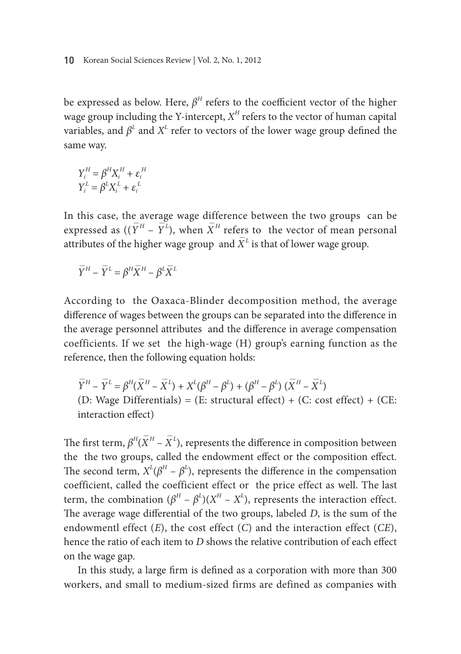#### 10 Korean Social Sciences Review | Vol. 2, No. 1, 2012

be expressed as below. Here,  $\beta^H$  refers to the coefficient vector of the higher wage group including the Y-intercept,  $X^H$  refers to the vector of human capital variables, and  $\beta^L$  and  $X^L$  refer to vectors of the lower wage group defined the same way.

$$
Y_i^H = \beta^H X_i^H + \varepsilon_i^H
$$

$$
Y_i^L = \beta^L X_i^L + \varepsilon_i^L
$$

In this case, the average wage difference between the two groups can be expressed as  $((\overline{Y}^H - \overline{Y}^L)$ , when  $\overline{X}^H$  refers to the vector of mean personal attributes of the higher wage group and  $\bar{X}^L$  is that of lower wage group.

$$
\overline{Y}^{H} - \overline{Y}^{L} = \beta^{H} \overline{X}^{H} - \beta^{L} \overline{X}^{L}
$$

According to the Oaxaca-Blinder decomposition method, the average difference of wages between the groups can be separated into the difference in the average personnel attributes and the difference in average compensation coefficients. If we set the high-wage (H) group's earning function as the reference, then the following equation holds:

$$
\overline{Y}^{H} - \overline{Y}^{L} = \beta^{H}(\overline{X}^{H} - \overline{X}^{L}) + X^{L}(\beta^{H} - \beta^{L}) + (\beta^{H} - \beta^{L}) (\overline{X}^{H} - \overline{X}^{L})
$$
  
(D: Wage Differentials) = (E: structural effect) + (C: cost effect) + (CE:  
interaction effect)

The first term,  $\beta^H(\overline{X}^H - \overline{X}^L)$ , represents the difference in composition between the the two groups, called the endowment effect or the composition effect. The second term,  $X^L(\beta^H - \beta^L)$ , represents the difference in the compensation coefficient, called the coefficient effect or the price effect as well. The last term, the combination  $(\beta^H - \beta^L)(X^H - X^L)$ , represents the interaction effect. The average wage differential of the two groups, labeled *D*, is the sum of the endowmentl effect (*E*), the cost effect (*C*) and the interaction effect (*CE*), hence the ratio of each item to *D* shows the relative contribution of each effect on the wage gap.

In this study, a large firm is defined as a corporation with more than 300 workers, and small to medium-sized firms are defined as companies with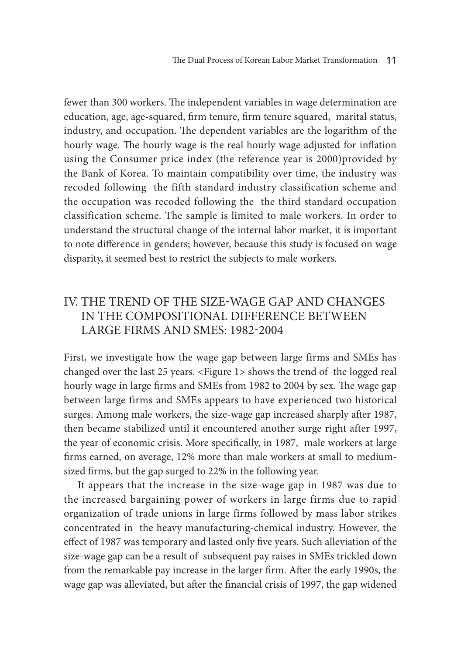fewer than 300 workers. The independent variables in wage determination are education, age, age-squared, firm tenure, firm tenure squared, marital status, industry, and occupation. The dependent variables are the logarithm of the hourly wage. The hourly wage is the real hourly wage adjusted for inflation using the Consumer price index (the reference year is 2000)provided by the Bank of Korea. To maintain compatibility over time, the industry was recoded following the fifth standard industry classification scheme and the occupation was recoded following the the third standard occupation classification scheme. The sample is limited to male workers. In order to understand the structural change of the internal labor market, it is important to note difference in genders; however, because this study is focused on wage disparity, it seemed best to restrict the subjects to male workers.

# IV. The Trend of the Size-Wage Gap and Changes in the compositional difference between Large Firms and SMEs: 1982-2004

First, we investigate how the wage gap between large firms and SMEs has changed over the last 25 years. <Figure 1> shows the trend of the logged real hourly wage in large firms and SMEs from 1982 to 2004 by sex. The wage gap between large firms and SMEs appears to have experienced two historical surges. Among male workers, the size-wage gap increased sharply after 1987, then became stabilized until it encountered another surge right after 1997, the year of economic crisis. More specifically, in 1987, male workers at large firms earned, on average, 12% more than male workers at small to mediumsized firms, but the gap surged to 22% in the following year.

It appears that the increase in the size-wage gap in 1987 was due to the increased bargaining power of workers in large firms due to rapid organization of trade unions in large firms followed by mass labor strikes concentrated in the heavy manufacturing-chemical industry. However, the effect of 1987 was temporary and lasted only five years. Such alleviation of the size-wage gap can be a result of subsequent pay raises in SMEs trickled down from the remarkable pay increase in the larger firm. After the early 1990s, the wage gap was alleviated, but after the financial crisis of 1997, the gap widened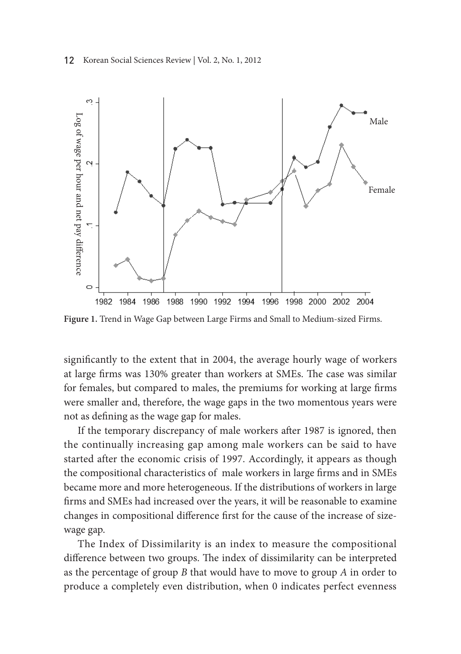

significantly to the extent that in 2004, the average hourly wage of workers at large firms was 130% greater than workers at SMEs. The case was similar for females, but compared to males, the premiums for working at large firms were smaller and, therefore, the wage gaps in the two momentous years were not as defining as the wage gap for males.

If the temporary discrepancy of male workers after 1987 is ignored, then the continually increasing gap among male workers can be said to have started after the economic crisis of 1997. Accordingly, it appears as though the compositional characteristics of male workers in large firms and in SMEs became more and more heterogeneous. If the distributions of workers in large firms and SMEs had increased over the years, it will be reasonable to examine changes in compositional difference first for the cause of the increase of sizewage gap.

The Index of Dissimilarity is an index to measure the compositional difference between two groups. The index of dissimilarity can be interpreted as the percentage of group *B* that would have to move to group *A* in order to produce a completely even distribution, when 0 indicates perfect evenness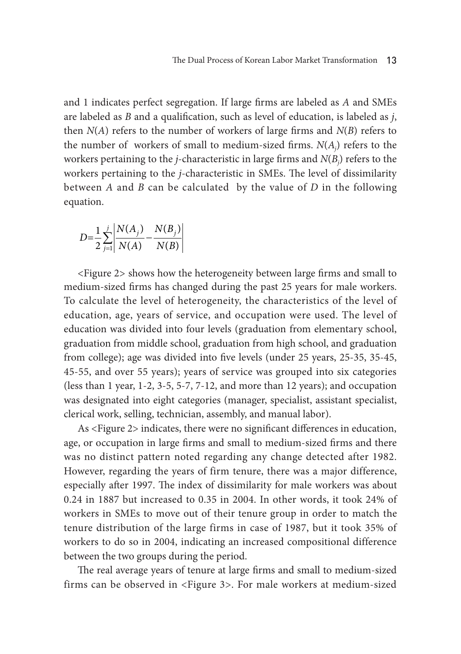and 1 indicates perfect segregation. If large firms are labeled as *A* and SMEs are labeled as *B* and a qualification, such as level of education, is labeled as *j*, then  $N(A)$  refers to the number of workers of large firms and  $N(B)$  refers to the number of workers of small to medium-sized firms.  $N(A_j)$  refers to the workers pertaining to the *j*-characteristic in large firms and  $N(B_j)$  refers to the workers pertaining to the *j*-characteristic in SMEs. The level of dissimilarity between *A* and *B* can be calculated by the value of *D* in the following equation.

$$
D = \frac{1}{2} \sum_{j=1}^{j} \frac{N(A_j)}{N(A)} - \frac{N(B_j)}{N(B)}
$$

<Figure 2> shows how the heterogeneity between large firms and small to medium-sized firms has changed during the past 25 years for male workers. To calculate the level of heterogeneity, the characteristics of the level of education, age, years of service, and occupation were used. The level of education was divided into four levels (graduation from elementary school, graduation from middle school, graduation from high school, and graduation from college); age was divided into five levels (under 25 years, 25-35, 35-45, 45-55, and over 55 years); years of service was grouped into six categories (less than 1 year, 1-2, 3-5, 5-7, 7-12, and more than 12 years); and occupation was designated into eight categories (manager, specialist, assistant specialist, clerical work, selling, technician, assembly, and manual labor).

As <Figure 2> indicates, there were no significant differences in education, age, or occupation in large firms and small to medium-sized firms and there was no distinct pattern noted regarding any change detected after 1982. However, regarding the years of firm tenure, there was a major difference, especially after 1997. The index of dissimilarity for male workers was about 0.24 in 1887 but increased to 0.35 in 2004. In other words, it took 24% of workers in SMEs to move out of their tenure group in order to match the tenure distribution of the large firms in case of 1987, but it took 35% of workers to do so in 2004, indicating an increased compositional difference between the two groups during the period.

The real average years of tenure at large firms and small to medium-sized firms can be observed in <Figure 3>. For male workers at medium-sized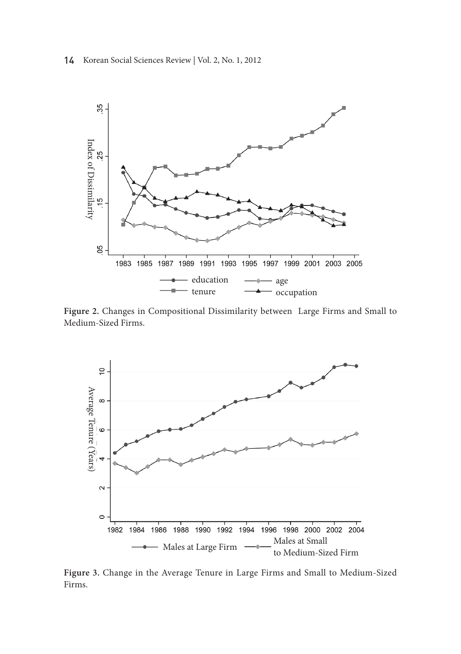



**Figure 2.** Changes in Compositional Dissimilarity between Large Firms and Small to Medium-Sized Firms.



**Figure 3.** Change in the Average Tenure in Large Firms and Small to Medium-Sized Firms.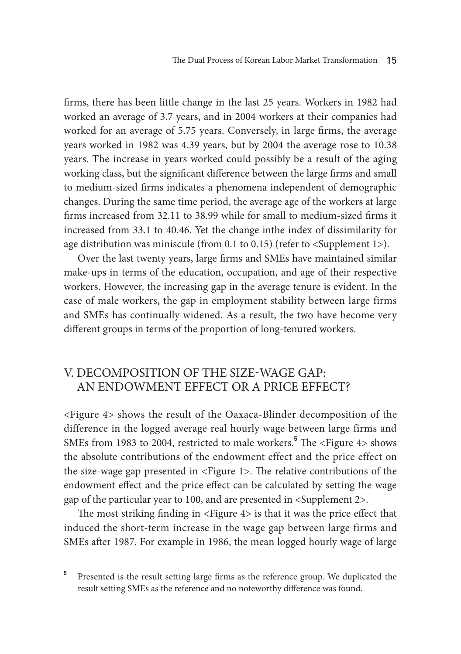The Dual Process of Korean Labor Market Transformation 15

firms, there has been little change in the last 25 years. Workers in 1982 had worked an average of 3.7 years, and in 2004 workers at their companies had worked for an average of 5.75 years. Conversely, in large firms, the average years worked in 1982 was 4.39 years, but by 2004 the average rose to 10.38 years. The increase in years worked could possibly be a result of the aging working class, but the significant difference between the large firms and small to medium-sized firms indicates a phenomena independent of demographic changes. During the same time period, the average age of the workers at large firms increased from 32.11 to 38.99 while for small to medium-sized firms it increased from 33.1 to 40.46. Yet the change inthe index of dissimilarity for age distribution was miniscule (from 0.1 to 0.15) (refer to <Supplement 1>).

Over the last twenty years, large firms and SMEs have maintained similar make-ups in terms of the education, occupation, and age of their respective workers. However, the increasing gap in the average tenure is evident. In the case of male workers, the gap in employment stability between large firms and SMEs has continually widened. As a result, the two have become very different groups in terms of the proportion of long-tenured workers.

# V. Decomposition of the Size-Wage Gap: An Endowment Effect or a Price effect?

<Figure 4> shows the result of the Oaxaca-Blinder decomposition of the difference in the logged average real hourly wage between large firms and SMEs from 1983 to 2004, restricted to male workers.**<sup>5</sup>** The <Figure 4> shows the absolute contributions of the endowment effect and the price effect on the size-wage gap presented in <Figure 1>. The relative contributions of the endowment effect and the price effect can be calculated by setting the wage gap of the particular year to 100, and are presented in <Supplement 2>.

The most striking finding in <Figure 4> is that it was the price effect that induced the short-term increase in the wage gap between large firms and SMEs after 1987. For example in 1986, the mean logged hourly wage of large

**<sup>5</sup>** Presented is the result setting large firms as the reference group. We duplicated the result setting SMEs as the reference and no noteworthy difference was found.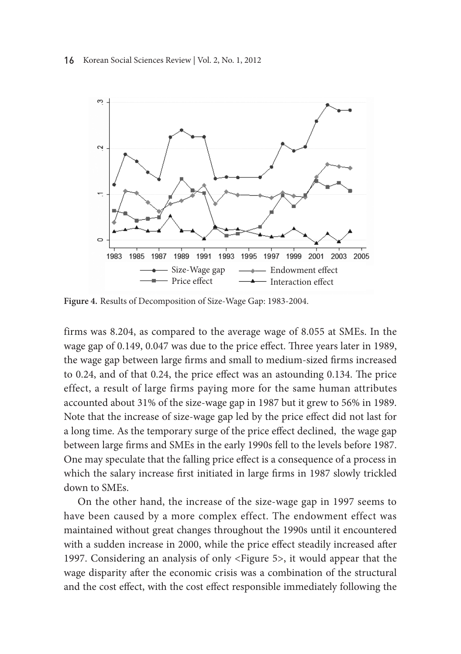#### 16 Korean Social Sciences Review | Vol. 2, No. 1, 2012



**Figure 4.** Results of Decomposition of Size-Wage Gap: 1983-2004.

firms was 8.204, as compared to the average wage of 8.055 at SMEs. In the wage gap of 0.149, 0.047 was due to the price effect. Three years later in 1989, the wage gap between large firms and small to medium-sized firms increased to 0.24, and of that 0.24, the price effect was an astounding 0.134. The price effect, a result of large firms paying more for the same human attributes accounted about 31% of the size-wage gap in 1987 but it grew to 56% in 1989. Note that the increase of size-wage gap led by the price effect did not last for a long time. As the temporary surge of the price effect declined, the wage gap between large firms and SMEs in the early 1990s fell to the levels before 1987. One may speculate that the falling price effect is a consequence of a process in which the salary increase first initiated in large firms in 1987 slowly trickled down to SMEs.

On the other hand, the increase of the size-wage gap in 1997 seems to have been caused by a more complex effect. The endowment effect was maintained without great changes throughout the 1990s until it encountered with a sudden increase in 2000, while the price effect steadily increased after 1997. Considering an analysis of only <Figure 5>, it would appear that the wage disparity after the economic crisis was a combination of the structural and the cost effect, with the cost effect responsible immediately following the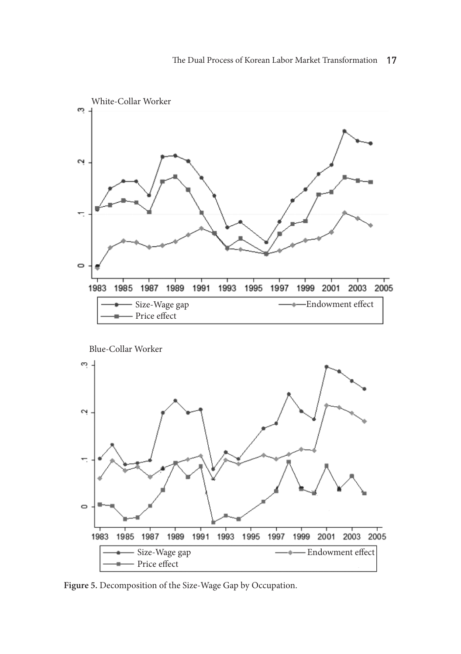

Blue-Collar Worker



**Figure 5.** Decomposition of the Size-Wage Gap by Occupation.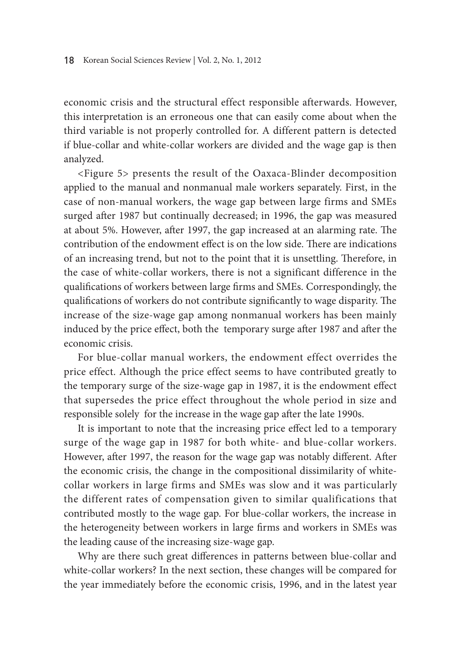economic crisis and the structural effect responsible afterwards. However, this interpretation is an erroneous one that can easily come about when the third variable is not properly controlled for. A different pattern is detected if blue-collar and white-collar workers are divided and the wage gap is then analyzed.

<Figure 5> presents the result of the Oaxaca-Blinder decomposition applied to the manual and nonmanual male workers separately. First, in the case of non-manual workers, the wage gap between large firms and SMEs surged after 1987 but continually decreased; in 1996, the gap was measured at about 5%. However, after 1997, the gap increased at an alarming rate. The contribution of the endowment effect is on the low side. There are indications of an increasing trend, but not to the point that it is unsettling. Therefore, in the case of white-collar workers, there is not a significant difference in the qualifications of workers between large firms and SMEs. Correspondingly, the qualifications of workers do not contribute significantly to wage disparity. The increase of the size-wage gap among nonmanual workers has been mainly induced by the price effect, both the temporary surge after 1987 and after the economic crisis.

For blue-collar manual workers, the endowment effect overrides the price effect. Although the price effect seems to have contributed greatly to the temporary surge of the size-wage gap in 1987, it is the endowment effect that supersedes the price effect throughout the whole period in size and responsible solely for the increase in the wage gap after the late 1990s.

It is important to note that the increasing price effect led to a temporary surge of the wage gap in 1987 for both white- and blue-collar workers. However, after 1997, the reason for the wage gap was notably different. After the economic crisis, the change in the compositional dissimilarity of whitecollar workers in large firms and SMEs was slow and it was particularly the different rates of compensation given to similar qualifications that contributed mostly to the wage gap. For blue-collar workers, the increase in the heterogeneity between workers in large firms and workers in SMEs was the leading cause of the increasing size-wage gap.

Why are there such great differences in patterns between blue-collar and white-collar workers? In the next section, these changes will be compared for the year immediately before the economic crisis, 1996, and in the latest year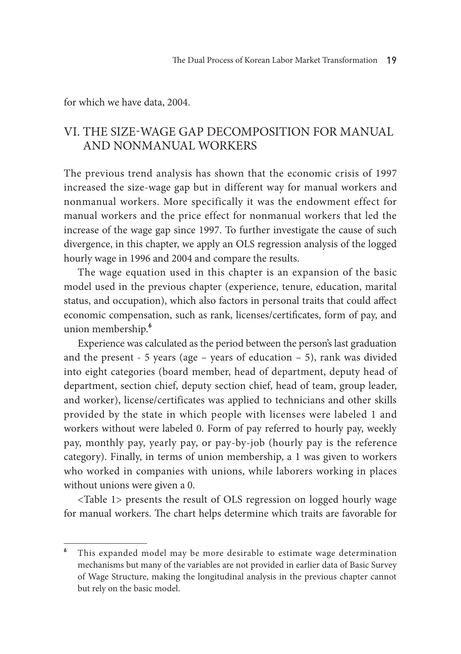for which we have data, 2004.

# VI. The Size-Wage Gap Decomposition for Manual and Nonmanual Workers

The previous trend analysis has shown that the economic crisis of 1997 increased the size-wage gap but in different way for manual workers and nonmanual workers. More specifically it was the endowment effect for manual workers and the price effect for nonmanual workers that led the increase of the wage gap since 1997. To further investigate the cause of such divergence, in this chapter, we apply an OLS regression analysis of the logged hourly wage in 1996 and 2004 and compare the results.

The wage equation used in this chapter is an expansion of the basic model used in the previous chapter (experience, tenure, education, marital status, and occupation), which also factors in personal traits that could affect economic compensation, such as rank, licenses/certificates, form of pay, and union membership.**<sup>6</sup>**

Experience was calculated as the period between the person's last graduation and the present - 5 years (age – years of education – 5), rank was divided into eight categories (board member, head of department, deputy head of department, section chief, deputy section chief, head of team, group leader, and worker), license/certificates was applied to technicians and other skills provided by the state in which people with licenses were labeled 1 and workers without were labeled 0. Form of pay referred to hourly pay, weekly pay, monthly pay, yearly pay, or pay-by-job (hourly pay is the reference category). Finally, in terms of union membership, a 1 was given to workers who worked in companies with unions, while laborers working in places without unions were given a 0.

<Table 1> presents the result of OLS regression on logged hourly wage for manual workers. The chart helps determine which traits are favorable for

**<sup>6</sup>** This expanded model may be more desirable to estimate wage determination mechanisms but many of the variables are not provided in earlier data of Basic Survey of Wage Structure, making the longitudinal analysis in the previous chapter cannot but rely on the basic model.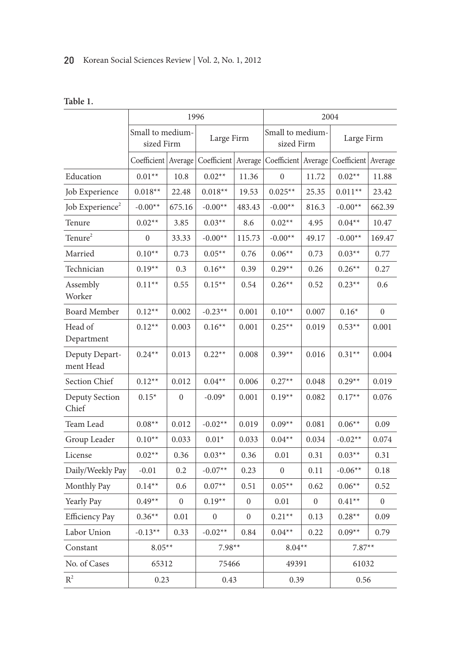### 20 Korean Social Sciences Review | Vol. 2, No. 1, 2012

| ٧<br>o m<br>× |  |
|---------------|--|
|---------------|--|

|                             | 1996      |                                                                                |                                     |              | 2004                            |                  |                       |                |
|-----------------------------|-----------|--------------------------------------------------------------------------------|-------------------------------------|--------------|---------------------------------|------------------|-----------------------|----------------|
|                             |           | Small to medium-<br>Small to medium-<br>Large Firm<br>sized Firm<br>sized Firm |                                     | Large Firm   |                                 |                  |                       |                |
|                             |           |                                                                                | Coefficient   Average   Coefficient |              | Average   Coefficient   Average |                  | Coefficient   Average |                |
| Education                   | $0.01**$  | 10.8                                                                           | $0.02**$                            | 11.36        | $\overline{0}$                  | 11.72            | $0.02**$              | 11.88          |
| Job Experience              | $0.018**$ | 22.48                                                                          | $0.018**$                           | 19.53        | $0.025**$                       | 25.35            | $0.011**$             | 23.42          |
| Job Experience <sup>2</sup> | $-0.00**$ | 675.16                                                                         | $-0.00**$                           | 483.43       | $-0.00**$                       | 816.3            | $-0.00**$             | 662.39         |
| Tenure                      | $0.02**$  | 3.85                                                                           | $0.03**$                            | 8.6          | $0.02**$                        | 4.95             | $0.04**$              | 10.47          |
| Tenure <sup>2</sup>         | $\Omega$  | 33.33                                                                          | $-0.00**$                           | 115.73       | $-0.00**$                       | 49.17            | $-0.00**$             | 169.47         |
| Married                     | $0.10**$  | 0.73                                                                           | $0.05**$                            | 0.76         | $0.06**$                        | 0.73             | $0.03**$              | 0.77           |
| Technician                  | $0.19**$  | 0.3                                                                            | $0.16**$                            | 0.39         | $0.29**$                        | 0.26             | $0.26**$              | 0.27           |
| Assembly<br>Worker          | $0.11**$  | 0.55                                                                           | $0.15***$                           | 0.54         | $0.26**$                        | 0.52             | $0.23**$              | 0.6            |
| <b>Board Member</b>         | $0.12**$  | 0.002                                                                          | $-0.23**$                           | 0.001        | $0.10**$                        | 0.007            | $0.16*$               | $\Omega$       |
| Head of<br>Department       | $0.12**$  | 0.003                                                                          | $0.16**$                            | 0.001        | $0.25**$                        | 0.019            | $0.53**$              | 0.001          |
| Deputy Depart-<br>ment Head | $0.24**$  | 0.013                                                                          | $0.22**$                            | 0.008        | $0.39**$                        | 0.016            | $0.31**$              | 0.004          |
| Section Chief               | $0.12**$  | 0.012                                                                          | $0.04**$                            | 0.006        | $0.27**$                        | 0.048            | $0.29**$              | 0.019          |
| Deputy Section<br>Chief     | $0.15*$   | $\mathbf{0}$                                                                   | $-0.09*$                            | 0.001        | $0.19**$                        | 0.082            | $0.17**$              | 0.076          |
| Team Lead                   | $0.08**$  | 0.012                                                                          | $-0.02**$                           | 0.019        | $0.09**$                        | 0.081            | $0.06**$              | 0.09           |
| Group Leader                | $0.10**$  | 0.033                                                                          | $0.01*$                             | 0.033        | $0.04**$                        | 0.034            | $-0.02**$             | 0.074          |
| License                     | $0.02**$  | 0.36                                                                           | $0.03**$                            | 0.36         | 0.01                            | 0.31             | $0.03**$              | 0.31           |
| Daily/Weekly Pay            | $-0.01$   | 0.2                                                                            | $-0.07**$                           | 0.23         | $\overline{0}$                  | 0.11             | $-0.06**$             | 0.18           |
| Monthly Pay                 | $0.14**$  | 0.6                                                                            | $0.07**$                            | 0.51         | $0.05**$                        | 0.62             | $0.06**$              | 0.52           |
| Yearly Pay                  | $0.49**$  | $\mathbf{0}$                                                                   | $0.19**$                            | $\mathbf{0}$ | 0.01                            | $\boldsymbol{0}$ | $0.41**$              | $\overline{0}$ |
| <b>Efficiency Pay</b>       | $0.36**$  | 0.01                                                                           | $\mathbf{0}$                        | $\mathbf{0}$ | $0.21**$                        | 0.13             | $0.28**$              | 0.09           |
| Labor Union                 | $-0.13**$ | 0.33                                                                           | $-0.02**$                           | 0.84         | $0.04**$                        | 0.22             | $0.09**$              | 0.79           |
| Constant                    | $8.05**$  |                                                                                | $7.98**$                            |              | $8.04**$                        |                  | $7.87**$              |                |
| No. of Cases                | 65312     |                                                                                | 75466                               |              | 49391                           |                  | 61032                 |                |
| $R^2$                       | 0.23      |                                                                                | 0.43                                |              | 0.39                            |                  | 0.56                  |                |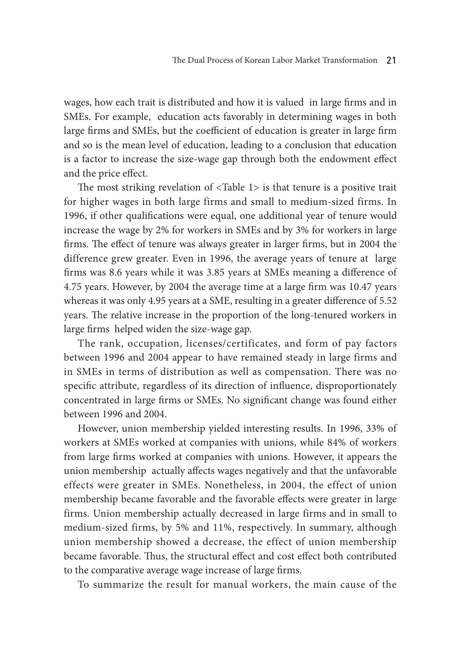wages, how each trait is distributed and how it is valued in large firms and in SMEs. For example, education acts favorably in determining wages in both large firms and SMEs, but the coefficient of education is greater in large firm and so is the mean level of education, leading to a conclusion that education is a factor to increase the size-wage gap through both the endowment effect and the price effect.

The most striking revelation of <Table 1> is that tenure is a positive trait for higher wages in both large firms and small to medium-sized firms. In 1996, if other qualifications were equal, one additional year of tenure would increase the wage by 2% for workers in SMEs and by 3% for workers in large firms. The effect of tenure was always greater in larger firms, but in 2004 the difference grew greater. Even in 1996, the average years of tenure at large firms was 8.6 years while it was 3.85 years at SMEs meaning a difference of 4.75 years. However, by 2004 the average time at a large firm was 10.47 years whereas it was only 4.95 years at a SME, resulting in a greater difference of 5.52 years. The relative increase in the proportion of the long-tenured workers in large firms helped widen the size-wage gap.

The rank, occupation, licenses/certificates, and form of pay factors between 1996 and 2004 appear to have remained steady in large firms and in SMEs in terms of distribution as well as compensation. There was no specific attribute, regardless of its direction of influence, disproportionately concentrated in large firms or SMEs. No significant change was found either between 1996 and 2004.

However, union membership yielded interesting results. In 1996, 33% of workers at SMEs worked at companies with unions, while 84% of workers from large firms worked at companies with unions. However, it appears the union membership actually affects wages negatively and that the unfavorable effects were greater in SMEs. Nonetheless, in 2004, the effect of union membership became favorable and the favorable effects were greater in large firms. Union membership actually decreased in large firms and in small to medium-sized firms, by 5% and 11%, respectively. In summary, although union membership showed a decrease, the effect of union membership became favorable. Thus, the structural effect and cost effect both contributed to the comparative average wage increase of large firms.

To summarize the result for manual workers, the main cause of the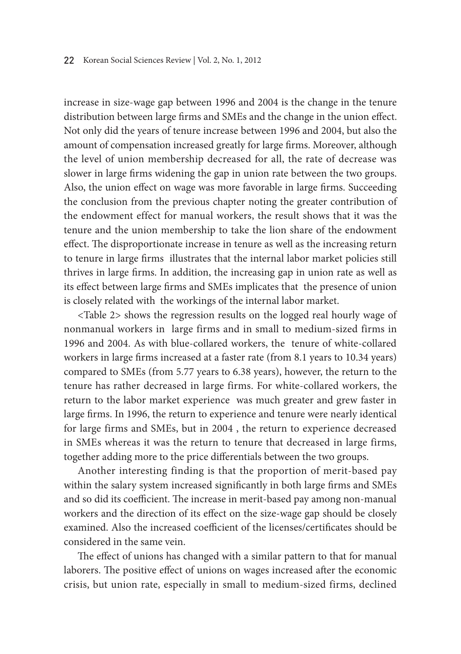increase in size-wage gap between 1996 and 2004 is the change in the tenure distribution between large firms and SMEs and the change in the union effect. Not only did the years of tenure increase between 1996 and 2004, but also the amount of compensation increased greatly for large firms. Moreover, although the level of union membership decreased for all, the rate of decrease was slower in large firms widening the gap in union rate between the two groups. Also, the union effect on wage was more favorable in large firms. Succeeding the conclusion from the previous chapter noting the greater contribution of the endowment effect for manual workers, the result shows that it was the tenure and the union membership to take the lion share of the endowment effect. The disproportionate increase in tenure as well as the increasing return to tenure in large firms illustrates that the internal labor market policies still thrives in large firms. In addition, the increasing gap in union rate as well as its effect between large firms and SMEs implicates that the presence of union is closely related with the workings of the internal labor market.

<Table 2> shows the regression results on the logged real hourly wage of nonmanual workers in large firms and in small to medium-sized firms in 1996 and 2004. As with blue-collared workers, the tenure of white-collared workers in large firms increased at a faster rate (from 8.1 years to 10.34 years) compared to SMEs (from 5.77 years to 6.38 years), however, the return to the tenure has rather decreased in large firms. For white-collared workers, the return to the labor market experience was much greater and grew faster in large firms. In 1996, the return to experience and tenure were nearly identical for large firms and SMEs, but in 2004 , the return to experience decreased in SMEs whereas it was the return to tenure that decreased in large firms, together adding more to the price differentials between the two groups.

Another interesting finding is that the proportion of merit-based pay within the salary system increased significantly in both large firms and SMEs and so did its coefficient. The increase in merit-based pay among non-manual workers and the direction of its effect on the size-wage gap should be closely examined. Also the increased coefficient of the licenses/certificates should be considered in the same vein.

The effect of unions has changed with a similar pattern to that for manual laborers. The positive effect of unions on wages increased after the economic crisis, but union rate, especially in small to medium-sized firms, declined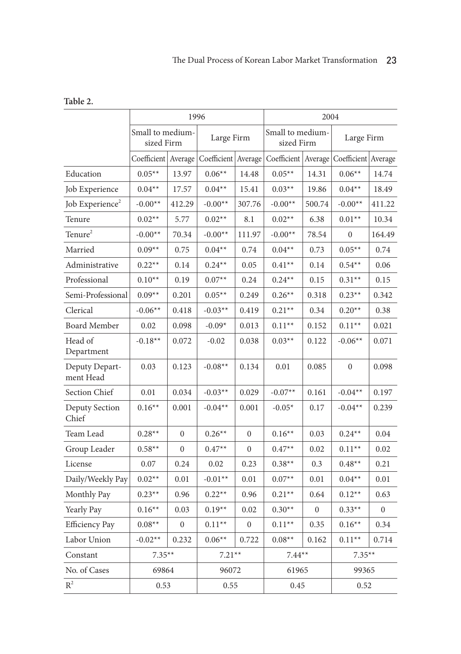|                             | 1996                           |                  |                       |                | 2004                           |                |                                               |              |
|-----------------------------|--------------------------------|------------------|-----------------------|----------------|--------------------------------|----------------|-----------------------------------------------|--------------|
|                             | Small to medium-<br>sized Firm |                  | Large Firm            |                | Small to medium-<br>sized Firm |                | Large Firm                                    |              |
|                             | Coefficient   Average          |                  | Coefficient   Average |                |                                |                | Coefficient   Average   Coefficient   Average |              |
| Education                   | $0.05**$                       | 13.97            | $0.06**$              | 14.48          | $0.05**$                       | 14.31          | $0.06**$                                      | 14.74        |
| Job Experience              | $0.04**$                       | 17.57            | $0.04**$              | 15.41          | $0.03**$                       | 19.86          | $0.04**$                                      | 18.49        |
| Job Experience <sup>2</sup> | $-0.00**$                      | 412.29           | $-0.00**$             | 307.76         | $-0.00**$                      | 500.74         | $-0.00**$                                     | 411.22       |
| Tenure                      | $0.02**$                       | 5.77             | $0.02**$              | 8.1            | $0.02**$                       | 6.38           | $0.01**$                                      | 10.34        |
| Tenure <sup>2</sup>         | $-0.00**$                      | 70.34            | $-0.00**$             | 111.97         | $-0.00**$                      | 78.54          | 0                                             | 164.49       |
| Married                     | $0.09**$                       | 0.75             | $0.04**$              | 0.74           | $0.04**$                       | 0.73           | $0.05**$                                      | 0.74         |
| Administrative              | $0.22**$                       | 0.14             | $0.24**$              | 0.05           | $0.41**$                       | 0.14           | $0.54**$                                      | 0.06         |
| Professional                | $0.10**$                       | 0.19             | $0.07**$              | 0.24           | $0.24**$                       | 0.15           | $0.31**$                                      | 0.15         |
| Semi-Professional           | $0.09**$                       | 0.201            | $0.05**$              | 0.249          | $0.26**$                       | 0.318          | $0.23**$                                      | 0.342        |
| Clerical                    | $-0.06**$                      | 0.418            | $-0.03**$             | 0.419          | $0.21**$                       | 0.34           | $0.20**$                                      | 0.38         |
| <b>Board Member</b>         | 0.02                           | 0.098            | $-0.09*$              | 0.013          | $0.11**$                       | 0.152          | $0.11**$                                      | 0.021        |
| Head of<br>Department       | $-0.18**$                      | 0.072            | $-0.02$               | 0.038          | $0.03**$                       | 0.122          | $-0.06**$                                     | 0.071        |
| Deputy Depart-<br>ment Head | 0.03                           | 0.123            | $-0.08**$             | 0.134          | 0.01                           | 0.085          | $\overline{0}$                                | 0.098        |
| Section Chief               | 0.01                           | 0.034            | $-0.03**$             | 0.029          | $-0.07**$                      | 0.161          | $-0.04**$                                     | 0.197        |
| Deputy Section<br>Chief     | $0.16**$                       | 0.001            | $-0.04**$             | 0.001          | $-0.05*$                       | 0.17           | $-0.04**$                                     | 0.239        |
| Team Lead                   | $0.28**$                       | $\boldsymbol{0}$ | $0.26**$              | $\overline{0}$ | $0.16**$                       | 0.03           | $0.24**$                                      | 0.04         |
| Group Leader                | $0.58**$                       | $\overline{0}$   | $0.47**$              | $\overline{0}$ | $0.47**$                       | 0.02           | $0.11**$                                      | 0.02         |
| License                     | 0.07                           | 0.24             | 0.02                  | 0.23           | $0.38**$                       | 0.3            | $0.48**$                                      | 0.21         |
| Daily/Weekly Pay            | $0.02**$                       | 0.01             | $-0.01**$             | 0.01           | $0.07**$                       | 0.01           | $0.04**$                                      | 0.01         |
| Monthly Pay                 | $0.23**$                       | 0.96             | $0.22**$              | 0.96           | $0.21**$                       | 0.64           | $0.12**$                                      | 0.63         |
| Yearly Pay                  | $0.16**$                       | 0.03             | $0.19**$              | 0.02           | $0.30**$                       | $\overline{0}$ | $0.33**$                                      | $\mathbf{0}$ |
| <b>Efficiency Pay</b>       | $0.08**$                       | $\boldsymbol{0}$ | $0.11**$              | $\mathbf{0}$   | $0.11**$                       | 0.35           | $0.16**$                                      | 0.34         |
| Labor Union                 | $-0.02**$                      | 0.232            | $0.06**$              | 0.722          | $0.08**$                       | 0.162          | $0.11**$                                      | 0.714        |
| Constant                    | $7.35**$                       |                  | $7.21**$              |                | $7.44**$                       |                | $7.35**$                                      |              |
| No. of Cases                | 69864                          |                  | 96072                 |                | 61965                          |                | 99365                                         |              |
| $\mathbb{R}^2$              | 0.53                           |                  | 0.55                  |                | 0.45                           |                | 0.52                                          |              |

**Table 2.**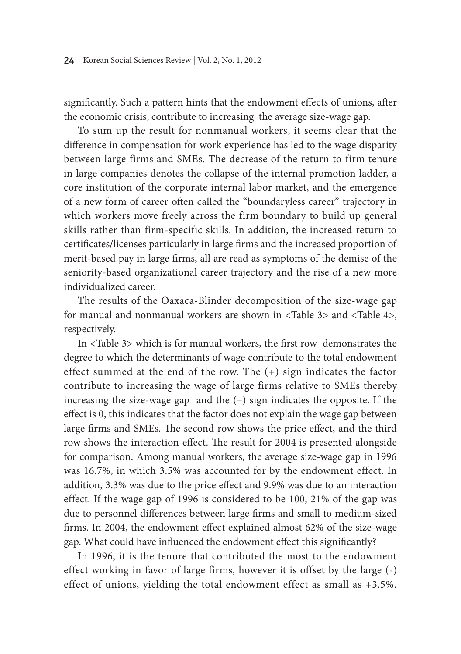significantly. Such a pattern hints that the endowment effects of unions, after the economic crisis, contribute to increasing the average size-wage gap.

To sum up the result for nonmanual workers, it seems clear that the difference in compensation for work experience has led to the wage disparity between large firms and SMEs. The decrease of the return to firm tenure in large companies denotes the collapse of the internal promotion ladder, a core institution of the corporate internal labor market, and the emergence of a new form of career often called the "boundaryless career" trajectory in which workers move freely across the firm boundary to build up general skills rather than firm-specific skills. In addition, the increased return to certificates/licenses particularly in large firms and the increased proportion of merit-based pay in large firms, all are read as symptoms of the demise of the seniority-based organizational career trajectory and the rise of a new more individualized career.

The results of the Oaxaca-Blinder decomposition of the size-wage gap for manual and nonmanual workers are shown in <Table 3> and <Table 4>, respectively.

In <Table 3> which is for manual workers, the first row demonstrates the degree to which the determinants of wage contribute to the total endowment effect summed at the end of the row. The (+) sign indicates the factor contribute to increasing the wage of large firms relative to SMEs thereby increasing the size-wage gap and the (–) sign indicates the opposite. If the effect is 0, this indicates that the factor does not explain the wage gap between large firms and SMEs. The second row shows the price effect, and the third row shows the interaction effect. The result for 2004 is presented alongside for comparison. Among manual workers, the average size-wage gap in 1996 was 16.7%, in which 3.5% was accounted for by the endowment effect. In addition, 3.3% was due to the price effect and 9.9% was due to an interaction effect. If the wage gap of 1996 is considered to be 100, 21% of the gap was due to personnel differences between large firms and small to medium-sized firms. In 2004, the endowment effect explained almost 62% of the size-wage gap. What could have influenced the endowment effect this significantly?

In 1996, it is the tenure that contributed the most to the endowment effect working in favor of large firms, however it is offset by the large (-) effect of unions, yielding the total endowment effect as small as +3.5%.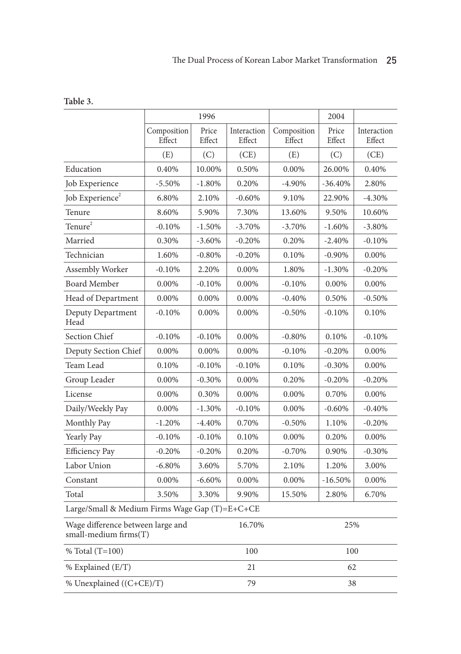|                                                                      |                       | 1996            |                       |                       | 2004            |                       |  |  |
|----------------------------------------------------------------------|-----------------------|-----------------|-----------------------|-----------------------|-----------------|-----------------------|--|--|
|                                                                      | Composition<br>Effect | Price<br>Effect | Interaction<br>Effect | Composition<br>Effect | Price<br>Effect | Interaction<br>Effect |  |  |
|                                                                      | (E)                   | (C)             | (CE)                  | (E)                   | (C)             | (CE)                  |  |  |
| Education                                                            | 0.40%                 | 10.00%          | 0.50%                 | 0.00%                 | 26.00%          | 0.40%                 |  |  |
| Job Experience                                                       | $-5.50%$              | $-1.80%$        | 0.20%                 | $-4.90%$              | $-36.40%$       | 2.80%                 |  |  |
| Job Experience <sup>2</sup>                                          | 6.80%                 | 2.10%           | $-0.60%$              | 9.10%                 | 22.90%          | $-4.30%$              |  |  |
| Tenure                                                               | 8.60%                 | 5.90%           | 7.30%                 | 13.60%                | 9.50%           | 10.60%                |  |  |
| Tenure <sup>2</sup>                                                  | $-0.10%$              | $-1.50%$        | $-3.70%$              | $-3.70%$              | $-1.60%$        | $-3.80%$              |  |  |
| Married                                                              | 0.30%                 | $-3.60\%$       | $-0.20%$              | 0.20%                 | $-2.40%$        | $-0.10%$              |  |  |
| Technician                                                           | 1.60%                 | $-0.80%$        | $-0.20%$              | 0.10%                 | $-0.90%$        | 0.00%                 |  |  |
| Assembly Worker                                                      | $-0.10%$              | 2.20%           | 0.00%                 | 1.80%                 | $-1.30%$        | $-0.20%$              |  |  |
| <b>Board Member</b>                                                  | 0.00%                 | $-0.10%$        | 0.00%                 | $-0.10%$              | 0.00%           | 0.00%                 |  |  |
| Head of Department                                                   | 0.00%                 | 0.00%           | 0.00%                 | $-0.40%$              | 0.50%           | $-0.50%$              |  |  |
| Deputy Department<br>Head                                            | $-0.10%$              | 0.00%           | 0.00%                 | $-0.50%$              | $-0.10%$        | 0.10%                 |  |  |
| Section Chief                                                        | $-0.10%$              | $-0.10%$        | 0.00%                 | $-0.80%$              | 0.10%           | $-0.10%$              |  |  |
| Deputy Section Chief                                                 | 0.00%                 | 0.00%           | 0.00%                 | $-0.10%$              | $-0.20%$        | 0.00%                 |  |  |
| Team Lead                                                            | 0.10%                 | $-0.10%$        | $-0.10%$              | 0.10%                 | $-0.30%$        | 0.00%                 |  |  |
| Group Leader                                                         | 0.00%                 | $-0.30%$        | 0.00%                 | 0.20%                 | $-0.20%$        | $-0.20%$              |  |  |
| License                                                              | 0.00%                 | 0.30%           | 0.00%                 | 0.00%                 | 0.70%           | 0.00%                 |  |  |
| Daily/Weekly Pay                                                     | 0.00%                 | $-1.30%$        | $-0.10%$              | 0.00%                 | $-0.60%$        | $-0.40%$              |  |  |
| Monthly Pay                                                          | $-1.20%$              | $-4.40%$        | 0.70%                 | $-0.50%$              | 1.10%           | $-0.20%$              |  |  |
| Yearly Pay                                                           | $-0.10%$              | $-0.10%$        | 0.10%                 | 0.00%                 | 0.20%           | 0.00%                 |  |  |
| <b>Efficiency Pay</b>                                                | $-0.20%$              | $-0.20%$        | 0.20%                 | $-0.70%$              | 0.90%           | $-0.30%$              |  |  |
| Labor Union                                                          | $-6.80%$              | 3.60%           | 5.70%                 | 2.10%                 | 1.20%           | 3.00%                 |  |  |
| Constant                                                             | $0.00\%$              | $-6.60%$        | $0.00\%$              | 0.00%                 | $-16.50%$       | $0.00\%$              |  |  |
| Total                                                                | 3.50%                 | 3.30%           | 9.90%                 | 15.50%                | 2.80%           | 6.70%                 |  |  |
| Large/Small & Medium Firms Wage Gap (T)=E+C+CE                       |                       |                 |                       |                       |                 |                       |  |  |
| Wage difference between large and<br>16.70%<br>small-medium firms(T) |                       |                 |                       |                       | 25%             |                       |  |  |
| % Total (T=100)                                                      |                       |                 | 100                   |                       | 100             |                       |  |  |
| % Explained (E/T)                                                    |                       | 21              |                       | 62                    |                 |                       |  |  |
| % Unexplained ((C+CE)/T)                                             |                       | 79              | 38                    |                       |                 |                       |  |  |

**Table 3.**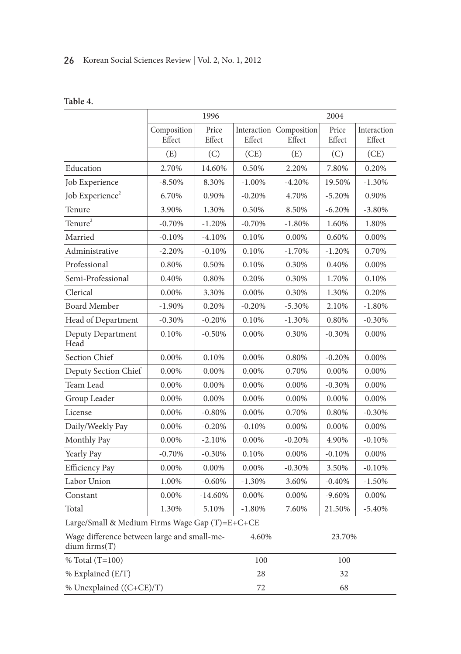### 26 Korean Social Sciences Review | Vol. 2, No. 1, 2012

|                                                              |                       | 1996            |                       | 2004                  |                 |                       |  |  |
|--------------------------------------------------------------|-----------------------|-----------------|-----------------------|-----------------------|-----------------|-----------------------|--|--|
|                                                              | Composition<br>Effect | Price<br>Effect | Interaction<br>Effect | Composition<br>Effect | Price<br>Effect | Interaction<br>Effect |  |  |
|                                                              | (E)                   | (C)             | (CE)                  | (E)                   | (C)             | (CE)                  |  |  |
| Education                                                    | 2.70%                 | 14.60%          | 0.50%                 | 2.20%                 | 7.80%           | 0.20%                 |  |  |
| Job Experience                                               | $-8.50%$              | 8.30%           | $-1.00\%$             | $-4.20%$              | 19.50%          | $-1.30%$              |  |  |
| Job Experience <sup>2</sup>                                  | 6.70%                 | 0.90%           | $-0.20%$              | 4.70%                 | $-5.20%$        | 0.90%                 |  |  |
| Tenure                                                       | 3.90%                 | 1.30%           | 0.50%                 | 8.50%                 | $-6.20%$        | $-3.80%$              |  |  |
| Tenure <sup>2</sup>                                          | $-0.70%$              | $-1.20%$        | $-0.70%$              | $-1.80%$              | 1.60%           | 1.80%                 |  |  |
| Married                                                      | $-0.10%$              | $-4.10%$        | 0.10%                 | 0.00%                 | 0.60%           | 0.00%                 |  |  |
| Administrative                                               | $-2.20%$              | $-0.10%$        | 0.10%                 | $-1.70%$              | $-1.20%$        | 0.70%                 |  |  |
| Professional                                                 | 0.80%                 | 0.50%           | 0.10%                 | 0.30%                 | 0.40%           | 0.00%                 |  |  |
| Semi-Professional                                            | 0.40%                 | 0.80%           | 0.20%                 | 0.30%                 | 1.70%           | 0.10%                 |  |  |
| Clerical                                                     | 0.00%                 | 3.30%           | 0.00%                 | 0.30%                 | 1.30%           | 0.20%                 |  |  |
| <b>Board Member</b>                                          | $-1.90%$              | 0.20%           | $-0.20%$              | $-5.30%$              | 2.10%           | $-1.80%$              |  |  |
| Head of Department                                           | $-0.30%$              | $-0.20%$        | 0.10%                 | $-1.30%$              | 0.80%           | $-0.30%$              |  |  |
| Deputy Department<br>Head                                    | 0.10%                 | $-0.50%$        | 0.00%                 | 0.30%                 | $-0.30%$        | 0.00%                 |  |  |
| <b>Section Chief</b>                                         | 0.00%                 | 0.10%           | 0.00%                 | 0.80%                 | $-0.20%$        | 0.00%                 |  |  |
| Deputy Section Chief                                         | 0.00%                 | 0.00%           | 0.00%                 | 0.70%                 | 0.00%           | 0.00%                 |  |  |
| Team Lead                                                    | 0.00%                 | 0.00%           | 0.00%                 | 0.00%                 | $-0.30%$        | $0.00\%$              |  |  |
| Group Leader                                                 | 0.00%                 | 0.00%           | 0.00%                 | 0.00%                 | 0.00%           | 0.00%                 |  |  |
| License                                                      | 0.00%                 | $-0.80%$        | 0.00%                 | 0.70%                 | 0.80%           | $-0.30%$              |  |  |
| Daily/Weekly Pay                                             | 0.00%                 | $-0.20%$        | $-0.10%$              | 0.00%                 | 0.00%           | 0.00%                 |  |  |
| Monthly Pay                                                  | 0.00%                 | $-2.10%$        | 0.00%                 | $-0.20%$              | 4.90%           | $-0.10%$              |  |  |
| Yearly Pay                                                   | $-0.70%$              | $-0.30%$        | 0.10%                 | 0.00%                 | $-0.10%$        | 0.00%                 |  |  |
| <b>Efficiency Pay</b>                                        | 0.00%                 | 0.00%           | 0.00%                 | $-0.30%$              | 3.50%           | $-0.10%$              |  |  |
| Labor Union                                                  | 1.00%                 | $-0.60%$        | $-1.30%$              | 3.60%                 | $-0.40%$        | $-1.50%$              |  |  |
| Constant                                                     | 0.00%                 | $-14.60%$       | 0.00%                 | 0.00%                 | $-9.60%$        | 0.00%                 |  |  |
| Total                                                        | 1.30%                 | 5.10%           | $-1.80%$              | 7.60%                 | 21.50%          | $-5.40%$              |  |  |
| Large/Small & Medium Firms Wage Gap (T)=E+C+CE               |                       |                 |                       |                       |                 |                       |  |  |
| Wage difference between large and small-me-<br>dium firms(T) | 4.60%                 |                 | 23.70%                |                       |                 |                       |  |  |
| % Total $(T=100)$                                            | 100                   |                 | 100                   |                       |                 |                       |  |  |
| % Explained (E/T)                                            | 28                    |                 | 32                    |                       |                 |                       |  |  |
| % Unexplained ((C+CE)/T)                                     | 72                    |                 |                       |                       |                 |                       |  |  |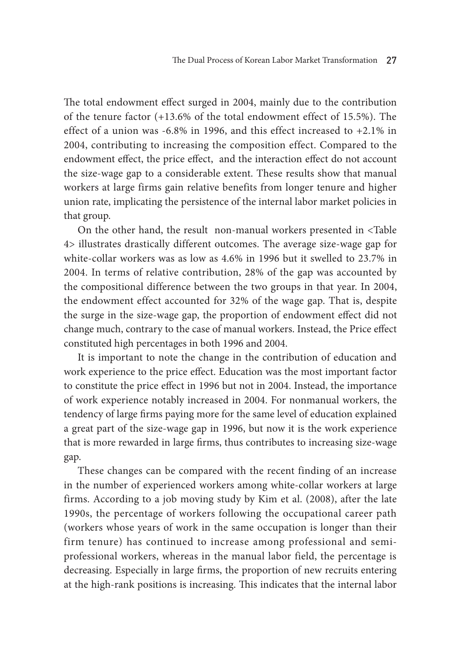The total endowment effect surged in 2004, mainly due to the contribution of the tenure factor (+13.6% of the total endowment effect of 15.5%). The effect of a union was  $-6.8\%$  in 1996, and this effect increased to  $+2.1\%$  in 2004, contributing to increasing the composition effect. Compared to the endowment effect, the price effect, and the interaction effect do not account the size-wage gap to a considerable extent. These results show that manual workers at large firms gain relative benefits from longer tenure and higher union rate, implicating the persistence of the internal labor market policies in that group.

On the other hand, the result non-manual workers presented in <Table 4> illustrates drastically different outcomes. The average size-wage gap for white-collar workers was as low as 4.6% in 1996 but it swelled to 23.7% in 2004. In terms of relative contribution, 28% of the gap was accounted by the compositional difference between the two groups in that year. In 2004, the endowment effect accounted for 32% of the wage gap. That is, despite the surge in the size-wage gap, the proportion of endowment effect did not change much, contrary to the case of manual workers. Instead, the Price effect constituted high percentages in both 1996 and 2004.

It is important to note the change in the contribution of education and work experience to the price effect. Education was the most important factor to constitute the price effect in 1996 but not in 2004. Instead, the importance of work experience notably increased in 2004. For nonmanual workers, the tendency of large firms paying more for the same level of education explained a great part of the size-wage gap in 1996, but now it is the work experience that is more rewarded in large firms, thus contributes to increasing size-wage gap.

These changes can be compared with the recent finding of an increase in the number of experienced workers among white-collar workers at large firms. According to a job moving study by Kim et al. (2008), after the late 1990s, the percentage of workers following the occupational career path (workers whose years of work in the same occupation is longer than their firm tenure) has continued to increase among professional and semiprofessional workers, whereas in the manual labor field, the percentage is decreasing. Especially in large firms, the proportion of new recruits entering at the high-rank positions is increasing. This indicates that the internal labor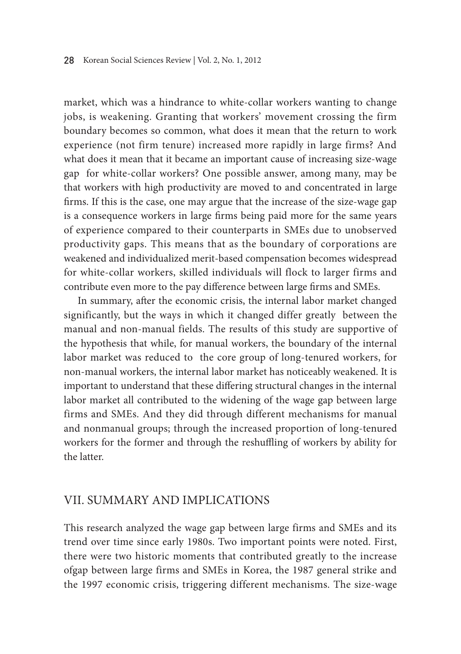market, which was a hindrance to white-collar workers wanting to change jobs, is weakening. Granting that workers' movement crossing the firm boundary becomes so common, what does it mean that the return to work experience (not firm tenure) increased more rapidly in large firms? And what does it mean that it became an important cause of increasing size-wage gap for white-collar workers? One possible answer, among many, may be that workers with high productivity are moved to and concentrated in large firms. If this is the case, one may argue that the increase of the size-wage gap is a consequence workers in large firms being paid more for the same years of experience compared to their counterparts in SMEs due to unobserved productivity gaps. This means that as the boundary of corporations are weakened and individualized merit-based compensation becomes widespread for white-collar workers, skilled individuals will flock to larger firms and contribute even more to the pay difference between large firms and SMEs.

In summary, after the economic crisis, the internal labor market changed significantly, but the ways in which it changed differ greatly between the manual and non-manual fields. The results of this study are supportive of the hypothesis that while, for manual workers, the boundary of the internal labor market was reduced to the core group of long-tenured workers, for non-manual workers, the internal labor market has noticeably weakened. It is important to understand that these differing structural changes in the internal labor market all contributed to the widening of the wage gap between large firms and SMEs. And they did through different mechanisms for manual and nonmanual groups; through the increased proportion of long-tenured workers for the former and through the reshuffling of workers by ability for the latter.

### VII. Summary and Implications

This research analyzed the wage gap between large firms and SMEs and its trend over time since early 1980s. Two important points were noted. First, there were two historic moments that contributed greatly to the increase ofgap between large firms and SMEs in Korea, the 1987 general strike and the 1997 economic crisis, triggering different mechanisms. The size-wage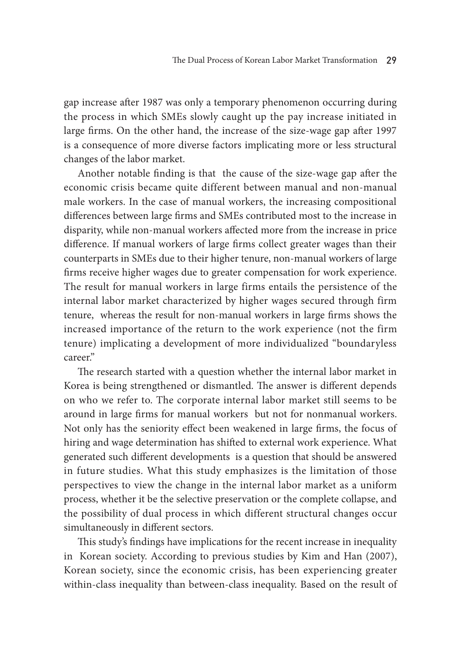gap increase after 1987 was only a temporary phenomenon occurring during the process in which SMEs slowly caught up the pay increase initiated in large firms. On the other hand, the increase of the size-wage gap after 1997 is a consequence of more diverse factors implicating more or less structural changes of the labor market.

Another notable finding is that the cause of the size-wage gap after the economic crisis became quite different between manual and non-manual male workers. In the case of manual workers, the increasing compositional differences between large firms and SMEs contributed most to the increase in disparity, while non-manual workers affected more from the increase in price difference. If manual workers of large firms collect greater wages than their counterparts in SMEs due to their higher tenure, non-manual workers of large firms receive higher wages due to greater compensation for work experience. The result for manual workers in large firms entails the persistence of the internal labor market characterized by higher wages secured through firm tenure, whereas the result for non-manual workers in large firms shows the increased importance of the return to the work experience (not the firm tenure) implicating a development of more individualized "boundaryless career."

The research started with a question whether the internal labor market in Korea is being strengthened or dismantled. The answer is different depends on who we refer to. The corporate internal labor market still seems to be around in large firms for manual workers but not for nonmanual workers. Not only has the seniority effect been weakened in large firms, the focus of hiring and wage determination has shifted to external work experience. What generated such different developments is a question that should be answered in future studies. What this study emphasizes is the limitation of those perspectives to view the change in the internal labor market as a uniform process, whether it be the selective preservation or the complete collapse, and the possibility of dual process in which different structural changes occur simultaneously in different sectors.

This study's findings have implications for the recent increase in inequality in Korean society. According to previous studies by Kim and Han (2007), Korean society, since the economic crisis, has been experiencing greater within-class inequality than between-class inequality. Based on the result of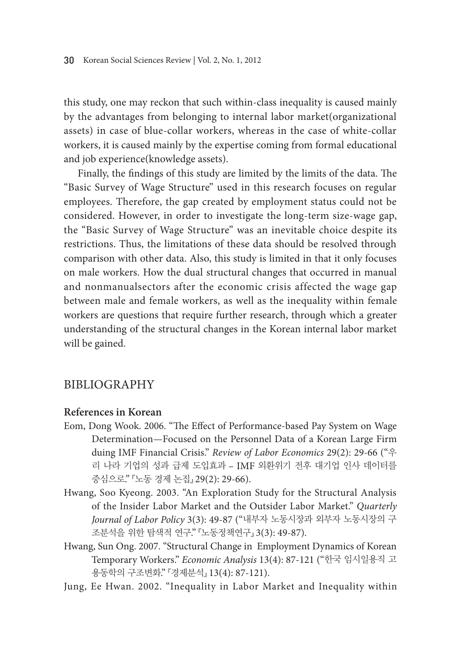this study, one may reckon that such within-class inequality is caused mainly by the advantages from belonging to internal labor market(organizational assets) in case of blue-collar workers, whereas in the case of white-collar workers, it is caused mainly by the expertise coming from formal educational and job experience(knowledge assets).

Finally, the findings of this study are limited by the limits of the data. The "Basic Survey of Wage Structure" used in this research focuses on regular employees. Therefore, the gap created by employment status could not be considered. However, in order to investigate the long-term size-wage gap, the "Basic Survey of Wage Structure" was an inevitable choice despite its restrictions. Thus, the limitations of these data should be resolved through comparison with other data. Also, this study is limited in that it only focuses on male workers. How the dual structural changes that occurred in manual and nonmanualsectors after the economic crisis affected the wage gap between male and female workers, as well as the inequality within female workers are questions that require further research, through which a greater understanding of the structural changes in the Korean internal labor market will be gained.

## **BIBLIOGRAPHY**

### **References in Korean**

- Eom, Dong Wook. 2006. "The Effect of Performance-based Pay System on Wage Determination—Focused on the Personnel Data of a Korean Large Firm duing IMF Financial Crisis." *Review of Labor Economics* 29(2): 29-66 ("우 리 나라 기업의 성과 급제 도입효과 – IMF 외환위기 전후 대기업 인사 데이터를 중심으로." 『노동 경제 논집』 29(2): 29-66).
- Hwang, Soo Kyeong. 2003. "An Exploration Study for the Structural Analysis of the Insider Labor Market and the Outsider Labor Market." *Quarterly Journal of Labor Policy* 3(3): 49-87 ("내부자 노동시장과 외부자 노동시장의 구 조분석을 위한 탐색적 연구." 『노동정책연구』 3(3): 49-87).
- Hwang, Sun Ong. 2007. "Structural Change in Employment Dynamics of Korean Temporary Workers." *Economic Analysis* 13(4): 87-121 ("한국 임시일용직 고 용동학의 구조변화." 『경제분석』 13(4): 87-121).
- Jung, Ee Hwan. 2002. "Inequality in Labor Market and Inequality within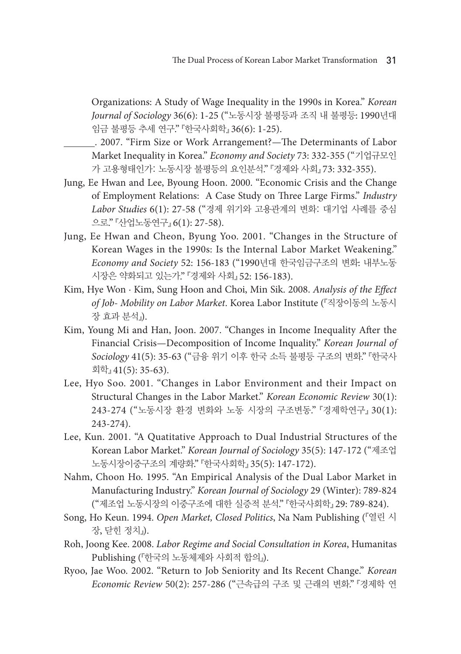Organizations: A Study of Wage Inequality in the 1990s in Korea." *Korean Journal of Sociology* 36(6): 1-25 ("노동시장 불평등과 조직 내 불평등: 1990년대 임금 불평등 추세 연구." 『한국사회학』 36(6): 1-25).

- . 2007. "Firm Size or Work Arrangement?—The Determinants of Labor Market Inequality in Korea." *Economy and Society* 73: 332-355 ("기업규모인 가 고용형태인가: 노동시장 불평등의 요인분석." 『경제와 사회』 73: 332-355).
- Jung, Ee Hwan and Lee, Byoung Hoon. 2000. "Economic Crisis and the Change of Employment Relations: A Case Study on Three Large Firms." *Industry Labor Studies* 6(1): 27-58 ("경제 위기와 고용관계의 변화: 대기업 사례를 중심 으로." 『산업노동연구』 6(1): 27-58).
- Jung, Ee Hwan and Cheon, Byung Yoo. 2001. "Changes in the Structure of Korean Wages in the 1990s: Is the Internal Labor Market Weakening." *Economy and Society* 52: 156-183 ("1990년대 한국임금구조의 변화: 내부노동 시장은 약화되고 있는가." 『경제와 사회』 52: 156-183).
- Kim, Hye Won · Kim, Sung Hoon and Choi, Min Sik. 2008. *Analysis of the Effect of Job- Mobility on Labor Market*. Korea Labor Institute (『직장이동의 노동시 장 효과 분석』).
- Kim, Young Mi and Han, Joon. 2007. "Changes in Income Inequality After the Financial Crisis—Decomposition of Income Inquality." *Korean Journal of Sociology* 41(5): 35-63 ("금융 위기 이후 한국 소득 불평등 구조의 변화." 『한국사 회학』 41(5): 35-63).
- Lee, Hyo Soo. 2001. "Changes in Labor Environment and their Impact on Structural Changes in the Labor Market." *Korean Economic Review* 30(1): 243-274 ("노동시장 환경 변화와 노동 시장의 구조변동." 『경제학연구』 30(1): 243-274).
- Lee, Kun. 2001. "A Quatitative Approach to Dual Industrial Structures of the Korean Labor Market." *Korean Journal of Sociology* 35(5): 147-172 ("제조업 노동시장이중구조의 계량화." 『한국사회학』 35(5): 147-172).
- Nahm, Choon Ho. 1995. "An Empirical Analysis of the Dual Labor Market in Manufacturing Industry." *Korean Journal of Sociology* 29 (Winter): 789-824 ("제조업 노동시장의 이중구조에 대한 실증적 분석." 『한국사회학』 29: 789-824).
- Song, Ho Keun. 1994. *Open Market, Closed Politics*, Na Nam Publishing (『열린 시 장, 닫힌 정치』).
- Roh, Joong Kee. 2008. *Labor Regime and Social Consultation in Korea*, Humanitas Publishing (『한국의 노동체제와 사회적 합의』).
- Ryoo, Jae Woo. 2002. "Return to Job Seniority and Its Recent Change." *Korean Economic Review* 50(2): 257-286 ("근속급의 구조 및 근래의 변화." 『경제학 연